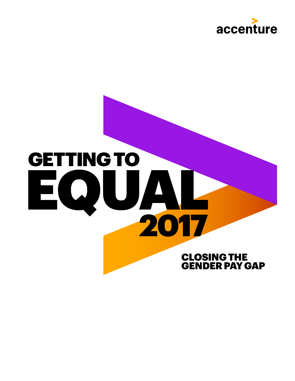

# EQUAL 2017 GETTINGTO CLOSING THE GENDER PAY GAP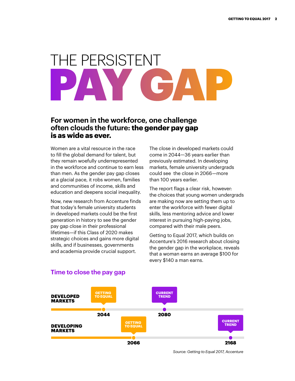# THE PERSISTENT **PAY GAP**

## **For women in the workforce, one challenge often clouds the future: the gender pay gap is as wide as ever.**

Women are a vital resource in the race to fill the global demand for talent, but they remain woefully underrepresented in the workforce and continue to earn less than men. As the gender pay gap closes at a glacial pace, it robs women, families and communities of income, skills and education and deepens social inequality.

Now, new research from Accenture finds that today's female university students in developed markets could be the first generation in history to see the gender pay gap close in their professional lifetimes—if this Class of 2020 makes strategic choices and gains more digital skills, and if businesses, governments and academia provide crucial support.

The close in developed markets could come in 2044—36 years earlier than previously estimated. In developing markets, female university undergrads could see the close in 2066—more than 100 years earlier.

The report flags a clear risk, however: the choices that young women undergrads are making now are setting them up to enter the workforce with fewer digital skills, less mentoring advice and lower interest in pursuing high-paying jobs, compared with their male peers.

Getting to Equal 2017, which builds on Accenture's 2016 research about closing the gender gap in the workplace, reveals that a woman earns an average \$100 for every \$140 a man earns.



### **Time to close the pay gap**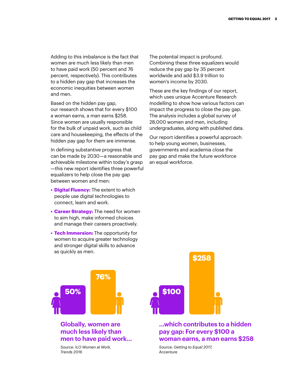Adding to this imbalance is the fact that women are much less likely than men to have paid work (50 percent and 76 percent, respectively). This contributes to a hidden pay gap that increases the economic inequities between women and men.

Based on the hidden pay gap, our research shows that for every \$100 a woman earns, a man earns \$258. Since women are usually responsible for the bulk of unpaid work, such as child care and housekeeping, the effects of the hidden pay gap for them are immense.

In defining substantive progress that can be made by 2030—a reasonable and achievable milestone within today's grasp —this new report identifies three powerful equalizers to help close the pay gap between women and men:

- **Digital Fluency:** The extent to which people use digital technologies to connect, learn and work.
- **Career Strategy:** The need for women to aim high, make informed choices and manage their careers proactively.
- **Tech Immersion:** The opportunity for women to acquire greater technology and stronger digital skills to advance as quickly as men.

The potential impact is profound. Combining these three equalizers would reduce the pay gap by 35 percent worldwide and add \$3.9 trillion to women's income by 2030.

These are the key findings of our report, which uses unique Accenture Research modelling to show how various factors can impact the progress to close the pay gap. The analysis includes a global survey of 28,000 women and men, including undergraduates, along with published data.

Our report identifies a powerful approach to help young women, businesses, governments and academia close the pay gap and make the future workforce an equal workforce.



### **Globally, women are much less likely than men to have paid work…**

*Source: ILO Women at Work, Trends 2016*



### **...which contributes to a hidden pay gap: For every \$100 a woman earns, a man earns \$258**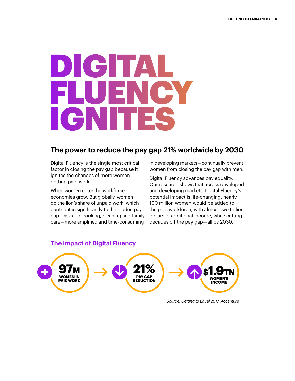# DIGITAL FLUENCY IGNITES

# **The power to reduce the pay gap 21% worldwide by 2030**

Digital Fluency is the single most critical factor in closing the pay gap because it ignites the chances of more women getting paid work.

When women enter the workforce, economies grow. But globally, women do the lion's share of unpaid work, which contributes significantly to the hidden pay gap. Tasks like cooking, cleaning and family care—more amplified and time-consuming

in developing markets—continually prevent women from closing the pay gap with men.

Digital Fluency advances pay equality. Our research shows that across developed and developing markets, Digital Fluency's potential impact is life-changing: nearly 100 million women would be added to the paid workforce, with almost two trillion dollars of additional income, while cutting decades off the pay gap—all by 2030.



**The impact of Digital Fluency**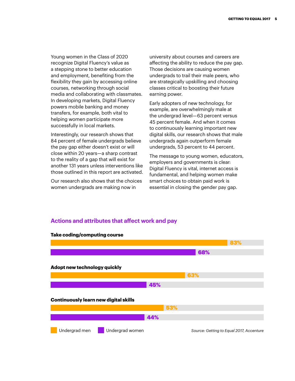Young women in the Class of 2020 recognize Digital Fluency's value as a stepping stone to better education and employment, benefiting from the flexibility they gain by accessing online courses, networking through social media and collaborating with classmates. In developing markets, Digital Fluency powers mobile banking and money transfers, for example, both vital to helping women participate more successfully in local markets.

Interestingly, our research shows that 84 percent of female undergrads believe the pay gap either doesn't exist or will close within 20 years—a sharp contrast to the reality of a gap that will exist for another 131 years unless interventions like those outlined in this report are activated.

Our research also shows that the choices women undergrads are making now in

university about courses and careers are affecting the ability to reduce the pay gap. Those decisions are causing women undergrads to trail their male peers, who are strategically upskilling and choosing classes critical to boosting their future earning power.

Early adopters of new technology, for example, are overwhelmingly male at the undergrad level—63 percent versus 45 percent female. And when it comes to continuously learning important new digital skills, our research shows that male undergrads again outperform female undergrads, 53 percent to 44 percent.

The message to young women, educators, employers and governments is clear: Digital Fluency is vital, internet access is fundamental, and helping women make smart choices to obtain paid work is essential in closing the gender pay gap.

#### **Actions and attributes that affect work and pay**

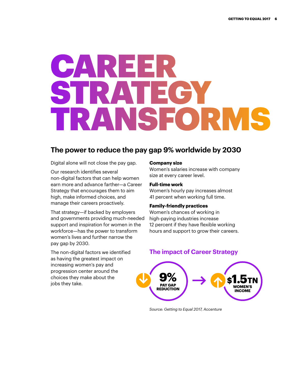# CAREER STRATEGY TRANSFORMS

# **The power to reduce the pay gap 9% worldwide by 2030**

Digital alone will not close the pay gap.

Our research identifies several non-digital factors that can help women earn more and advance farther—a Career Strategy that encourages them to aim high, make informed choices, and manage their careers proactively.

That strategy—if backed by employers and governments providing much-needed support and inspiration for women in the workforce—has the power to transform women's lives and further narrow the pay gap by 2030.

The non-digital factors we identified as having the greatest impact on increasing women's pay and progression center around the choices they make about the jobs they take.

#### **Company size**

Women's salaries increase with company size at every career level.

#### **Full-time work**

Women's hourly pay increases almost 41 percent when working full time.

### **Family-friendly practices**

Women's chances of working in high-paying industries increase 12 percent if they have flexible working hours and support to grow their careers.

## **The impact of Career Strategy**

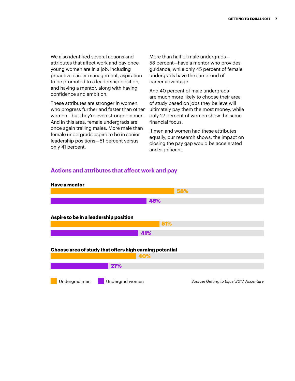We also identified several actions and attributes that affect work and pay once young women are in a job, including proactive career management, aspiration to be promoted to a leadership position, and having a mentor, along with having confidence and ambition.

These attributes are stronger in women who progress further and faster than other women—but they're even stronger in men. And in this area, female undergrads are once again trailing males. More male than female undergrads aspire to be in senior leadership positions—51 percent versus only 41 percent.

More than half of male undergrads— 58 percent—have a mentor who provides guidance, while only 45 percent of female undergrads have the same kind of career advantage.

And 40 percent of male undergrads are much more likely to choose their area of study based on jobs they believe will ultimately pay them the most money, while only 27 percent of women show the same financial focus.

If men and women had these attributes equally, our research shows, the impact on closing the pay gap would be accelerated and significant.

### **Actions and attributes that affect work and pay**

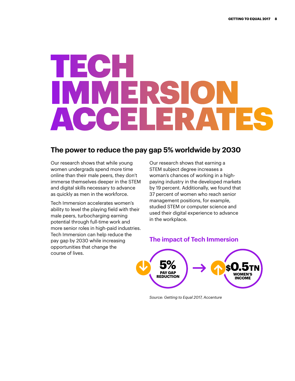# TECH IMMERSION ACCELERATES

# **The power to reduce the pay gap 5% worldwide by 2030**

Our research shows that while young women undergrads spend more time online than their male peers, they don't immerse themselves deeper in the STEM and digital skills necessary to advance as quickly as men in the workforce.

Tech Immersion accelerates women's ability to level the playing field with their male peers, turbocharging earning potential through full-time work and more senior roles in high-paid industries. Tech Immersion can help reduce the pay gap by 2030 while increasing opportunities that change the course of lives.

Our research shows that earning a STEM subject degree increases a woman's chances of working in a highpaying industry in the developed markets by 19 percent. Additionally, we found that 37 percent of women who reach senior management positions, for example, studied STEM or computer science and used their digital experience to advance in the workplace.

### **The impact of Tech Immersion**

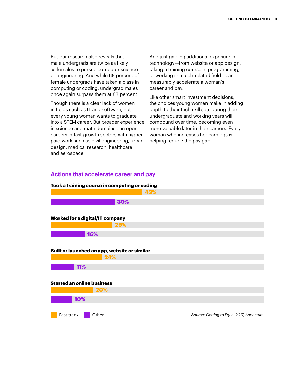But our research also reveals that male undergrads are twice as likely as females to pursue computer science or engineering. And while 68 percent of female undergrads have taken a class in computing or coding, undergrad males once again surpass them at 83 percent.

Though there is a clear lack of women in fields such as IT and software, not every young woman wants to graduate into a STEM career. But broader experience in science and math domains can open careers in fast-growth sectors with higher paid work such as civil engineering, urban design, medical research, healthcare and aerospace.

And just gaining additional exposure in technology—from website or app design, taking a training course in programming, or working in a tech-related field—can measurably accelerate a woman's career and pay.

Like other smart investment decisions, the choices young women make in adding depth to their tech skill sets during their undergraduate and working years will compound over time, becoming even more valuable later in their careers. Every woman who increases her earnings is helping reduce the pay gap.

### **Actions that accelerate career and pay**

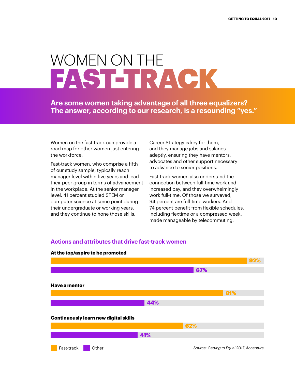# WOMEN ON THE FAST-TRACK

**Are some women taking advantage of all three equalizers? The answer, according to our research, is a resounding "yes."**

Women on the fast-track can provide a road map for other women just entering the workforce.

Fast-track women, who comprise a fifth of our study sample, typically reach manager level within five years and lead their peer group in terms of advancement in the workplace. At the senior manager level, 41 percent studied STEM or computer science at some point during their undergraduate or working years, and they continue to hone those skills.

Career Strategy is key for them, and they manage jobs and salaries adeptly, ensuring they have mentors, advocates and other support necessary to advance to senior positions.

Fast-track women also understand the connection between full-time work and increased pay, and they overwhelmingly work full-time. Of those we surveyed, 94 percent are full-time workers. And 74 percent benefit from flexible schedules, including flextime or a compressed week, made manageable by telecommuting.



### **Actions and attributes that drive fast-track women**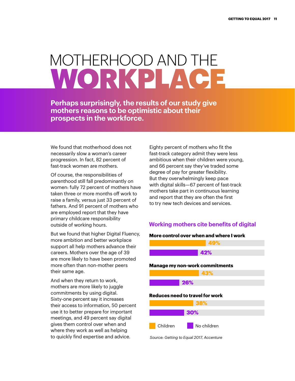# MOTHERHOOD AND THE WORKPLACE

**Perhaps surprisingly, the results of our study give mothers reasons to be optimistic about their prospects in the workforce.**

We found that motherhood does not necessarily slow a woman's career progression. In fact, 82 percent of fast-track women are mothers.

Of course, the responsibilities of parenthood still fall predominantly on women: fully 72 percent of mothers have taken three or more months off work to raise a family, versus just 33 percent of fathers. And 91 percent of mothers who are employed report that they have primary childcare responsibility outside of working hours.

But we found that higher Digital Fluency, more ambition and better workplace support all help mothers advance their careers. Mothers over the age of 39 are more likely to have been promoted more often than non-mother peers their same age.

And when they return to work, mothers are more likely to juggle commitments by using digital. Sixty-one percent say it increases their access to information, 50 percent use it to better prepare for important meetings, and 49 percent say digital gives them control over when and where they work as well as helping to quickly find expertise and advice.

Eighty percent of mothers who fit the fast-track category admit they were less ambitious when their children were young, and 66 percent say they've traded some degree of pay for greater flexibility. But they overwhelmingly keep pace with digital skills—67 percent of fast-track mothers take part in continuous learning and report that they are often the first to try new tech devices and services.

### **Working mothers cite benefits of digital**

# **More control over when and where I work** 42% 49% 26% 43% 30% 38% *Source: Getting to Equal 2017, Accenture* **Manage my non-work commitments Reduces need to travel for work** Children No children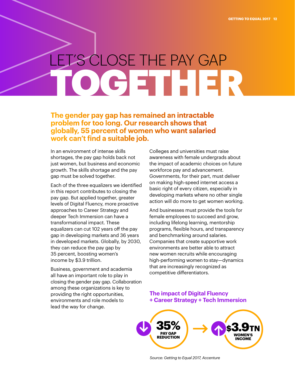# LET'S CLOSE THE PAY GAP TOGETHER

**The gender pay gap has remained an intractable problem for too long. Our research shows that globally, 55 percent of women who want salaried work can't find a suitable job.** 

In an environment of intense skills shortages, the pay gap holds back not just women, but business and economic growth. The skills shortage and the pay gap must be solved together.

Each of the three equalizers we identified in this report contributes to closing the pay gap. But applied together, greater levels of Digital Fluency, more proactive approaches to Career Strategy and deeper Tech Immersion can have a transformational impact. These equalizers can cut 102 years off the pay gap in developing markets and 36 years in developed markets. Globally, by 2030, they can reduce the pay gap by 35 percent, boosting women's income by \$3.9 trillion.

Business, government and academia all have an important role to play in closing the gender pay gap. Collaboration among these organizations is key to providing the right opportunities, environments and role models to lead the way for change.

Colleges and universities must raise awareness with female undergrads about the impact of academic choices on future workforce pay and advancement. Governments, for their part, must deliver on making high-speed internet access a basic right of every citizen, especially in developing markets where no other single action will do more to get women working.

And businesses must provide the tools for female employees to succeed and grow, including lifelong learning, mentorship programs, flexible hours, and transparency and benchmarking around salaries. Companies that create supportive work environments are better able to attract new women recruits while encouraging high-performing women to stay—dynamics that are increasingly recognized as competitive differentiators.

### **The impact of Digital Fluency + Career Strategy + Tech Immersion**

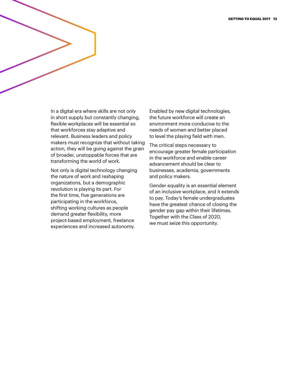In a digital era where skills are not only in short supply but constantly changing, flexible workplaces will be essential so that workforces stay adaptive and relevant. Business leaders and policy makers must recognize that without taking action, they will be going against the grain of broader, unstoppable forces that are transforming the world of work.

Not only is digital technology changing the nature of work and reshaping organizations, but a demographic revolution is playing its part. For the first time, five generations are participating in the workforce, shifting working cultures as people demand greater flexibility, more project-based employment, freelance experiences and increased autonomy.

Enabled by new digital technologies, the future workforce will create an environment more conducive to the needs of women and better placed to level the playing field with men.

The critical steps necessary to encourage greater female participation in the workforce and enable career advancement should be clear to businesses, academia, governments and policy makers.

Gender equality is an essential element of an inclusive workplace, and it extends to pay. Today's female undergraduates have the greatest chance of closing the gender pay gap within their lifetimes. Together with the Class of 2020, we must seize this opportunity.